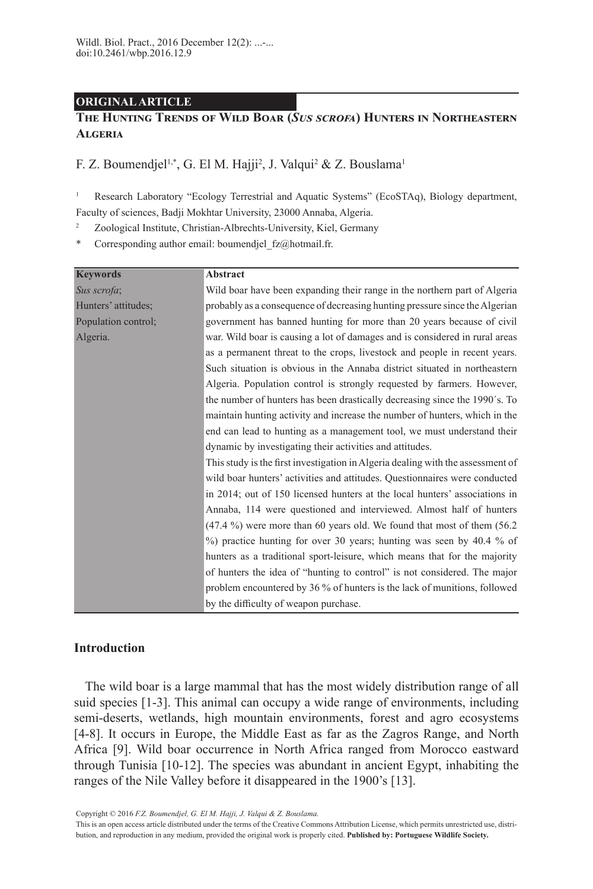## **ORIGINAL ARTICLE**

# **The Hunting Trends of Wild Boar (***Sus scrofa***) Hunters in Northeastern Algeria**

F. Z. Boumendjel<sup>1,\*</sup>, G. El M. Hajji<sup>2</sup>, J. Valqui<sup>2</sup> & Z. Bouslama<sup>1</sup>

<sup>1</sup> Research Laboratory "Ecology Terrestrial and Aquatic Systems" (EcoSTAq), Biology department, Faculty of sciences, Badji Mokhtar University, 23000 Annaba, Algeria.

<sup>2</sup> Zoological Institute, Christian-Albrechts-University, Kiel, Germany

Corresponding author email: boumendjel\_fz@hotmail.fr.

| <b>Keywords</b>     | <b>Abstract</b>                                                                 |  |  |  |
|---------------------|---------------------------------------------------------------------------------|--|--|--|
| Sus scrofa;         | Wild boar have been expanding their range in the northern part of Algeria       |  |  |  |
| Hunters' attitudes; | probably as a consequence of decreasing hunting pressure since the Algerian     |  |  |  |
| Population control; | government has banned hunting for more than 20 years because of civil           |  |  |  |
| Algeria.            | war. Wild boar is causing a lot of damages and is considered in rural areas     |  |  |  |
|                     | as a permanent threat to the crops, livestock and people in recent years.       |  |  |  |
|                     | Such situation is obvious in the Annaba district situated in northeastern       |  |  |  |
|                     | Algeria. Population control is strongly requested by farmers. However,          |  |  |  |
|                     | the number of hunters has been drastically decreasing since the 1990's. To      |  |  |  |
|                     | maintain hunting activity and increase the number of hunters, which in the      |  |  |  |
|                     | end can lead to hunting as a management tool, we must understand their          |  |  |  |
|                     | dynamic by investigating their activities and attitudes.                        |  |  |  |
|                     | This study is the first investigation in Algeria dealing with the assessment of |  |  |  |
|                     | wild boar hunters' activities and attitudes. Questionnaires were conducted      |  |  |  |
|                     | in 2014; out of 150 licensed hunters at the local hunters' associations in      |  |  |  |
|                     | Annaba, 114 were questioned and interviewed. Almost half of hunters             |  |  |  |
|                     | $(47.4\%)$ were more than 60 years old. We found that most of them $(56.2)$     |  |  |  |
|                     | %) practice hunting for over 30 years; hunting was seen by 40.4 % of            |  |  |  |
|                     | hunters as a traditional sport-leisure, which means that for the majority       |  |  |  |
|                     | of hunters the idea of "hunting to control" is not considered. The major        |  |  |  |
|                     | problem encountered by 36 % of hunters is the lack of munitions, followed       |  |  |  |
|                     | by the difficulty of weapon purchase.                                           |  |  |  |

# **Introduction**

The wild boar is a large mammal that has the most widely distribution range of all suid species [1-3]. This animal can occupy a wide range of environments, including semi-deserts, wetlands, high mountain environments, forest and agro ecosystems [4-8]. It occurs in Europe, the Middle East as far as the Zagros Range, and North Africa [9]. Wild boar occurrence in North Africa ranged from Morocco eastward through Tunisia [10-12]. The species was abundant in ancient Egypt, inhabiting the ranges of the Nile Valley before it disappeared in the 1900's [13].

[Copyright © 201](http://socpvs.org/journals/index.php/wbp/about/submissions#copyrightNotice)6 *F.Z. Boumendjel, G. El M. Hajji, J. Valqui & Z. Bouslama.*

This is an open access article distributed under the terms of the [Creative Commons Attribution License,](http://creativecommons.org/licenses/by/2.5/pt/deed.en_US) which permits unrestricted use, distribution, and reproduction in any medium, provided the original work is properly cited. **Published by: [Portuguese Wildlife Society](http://socpvs.org/).**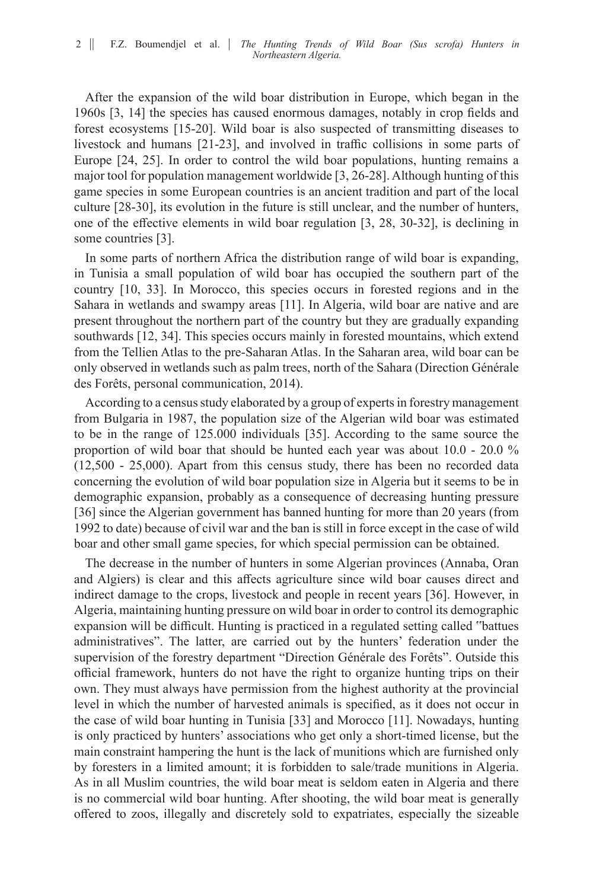After the expansion of the wild boar distribution in Europe, which began in the 1960s [3, 14] the species has caused enormous damages, notably in crop fields and forest ecosystems [15-20]. Wild boar is also suspected of transmitting diseases to livestock and humans [21-23], and involved in traffic collisions in some parts of Europe [24, 25]. In order to control the wild boar populations, hunting remains a major tool for population management worldwide [3, 26-28]. Although hunting of this game species in some European countries is an ancient tradition and part of the local culture [28-30], its evolution in the future is still unclear, and the number of hunters, one of the effective elements in wild boar regulation [3, 28, 30-32], is declining in some countries [3].

In some parts of northern Africa the distribution range of wild boar is expanding, in Tunisia a small population of wild boar has occupied the southern part of the country [10, 33]. In Morocco, this species occurs in forested regions and in the Sahara in wetlands and swampy areas [11]. In Algeria, wild boar are native and are present throughout the northern part of the country but they are gradually expanding southwards [12, 34]. This species occurs mainly in forested mountains, which extend from the Tellien Atlas to the pre-Saharan Atlas. In the Saharan area, wild boar can be only observed in wetlands such as palm trees, north of the Sahara (Direction Générale des Forêts, personal communication, 2014).

According to a census study elaborated by a group of experts in forestry management from Bulgaria in 1987, the population size of the Algerian wild boar was estimated to be in the range of 125.000 individuals [35]. According to the same source the proportion of wild boar that should be hunted each year was about 10.0 - 20.0 % (12,500 - 25,000). Apart from this census study, there has been no recorded data concerning the evolution of wild boar population size in Algeria but it seems to be in demographic expansion, probably as a consequence of decreasing hunting pressure [36] since the Algerian government has banned hunting for more than 20 years (from 1992 to date) because of civil war and the ban is still in force except in the case of wild boar and other small game species, for which special permission can be obtained.

The decrease in the number of hunters in some Algerian provinces (Annaba, Oran and Algiers) is clear and this affects agriculture since wild boar causes direct and indirect damage to the crops, livestock and people in recent years [36]. However, in Algeria, maintaining hunting pressure on wild boar in order to control its demographic expansion will be difficult. Hunting is practiced in a regulated setting called "battues administratives". The latter, are carried out by the hunters' federation under the supervision of the forestry department "Direction Générale des Forêts". Outside this official framework, hunters do not have the right to organize hunting trips on their own. They must always have permission from the highest authority at the provincial level in which the number of harvested animals is specified, as it does not occur in the case of wild boar hunting in Tunisia [33] and Morocco [11]. Nowadays, hunting is only practiced by hunters' associations who get only a short-timed license, but the main constraint hampering the hunt is the lack of munitions which are furnished only by foresters in a limited amount; it is forbidden to sale/trade munitions in Algeria. As in all Muslim countries, the wild boar meat is seldom eaten in Algeria and there is no commercial wild boar hunting. After shooting, the wild boar meat is generally offered to zoos, illegally and discretely sold to expatriates, especially the sizeable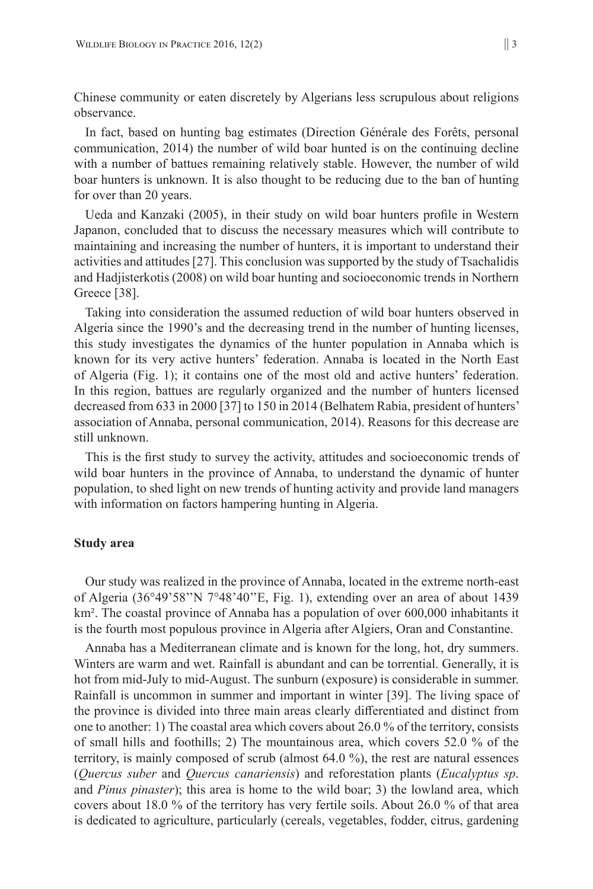Chinese community or eaten discretely by Algerians less scrupulous about religions observance.

In fact, based on hunting bag estimates (Direction Générale des Forêts, personal communication, 2014) the number of wild boar hunted is on the continuing decline with a number of battues remaining relatively stable. However, the number of wild boar hunters is unknown. It is also thought to be reducing due to the ban of hunting for over than 20 years.

Ueda and Kanzaki (2005), in their study on wild boar hunters profile in Western Japanon, concluded that to discuss the necessary measures which will contribute to maintaining and increasing the number of hunters, it is important to understand their activities and attitudes [27]. This conclusion was supported by the study of Tsachalidis and Hadjisterkotis (2008) on wild boar hunting and socioeconomic trends in Northern Greece [38].

Taking into consideration the assumed reduction of wild boar hunters observed in Algeria since the 1990's and the decreasing trend in the number of hunting licenses, this study investigates the dynamics of the hunter population in Annaba which is known for its very active hunters' federation. Annaba is located in the North East of Algeria (Fig. 1); it contains one of the most old and active hunters' federation. In this region, battues are regularly organized and the number of hunters licensed decreased from 633 in 2000 [37] to 150 in 2014 (Belhatem Rabia, president of hunters' association of Annaba, personal communication, 2014). Reasons for this decrease are still unknown.

This is the first study to survey the activity, attitudes and socioeconomic trends of wild boar hunters in the province of Annaba, to understand the dynamic of hunter population, to shed light on new trends of hunting activity and provide land managers with information on factors hampering hunting in Algeria.

#### **Study area**

Our study was realized in the province of Annaba, located in the extreme north-east of Algeria (36°49'58''N 7°48'40''E, Fig. 1), extending over an area of about 1439 km². The coastal province of Annaba has a population of over 600,000 inhabitants it is the fourth most populous province in Algeria after Algiers, Oran and Constantine.

Annaba has a Mediterranean climate and is known for the long, hot, dry summers. Winters are warm and wet. Rainfall is abundant and can be torrential. Generally, it is hot from mid-July to mid-August. The sunburn (exposure) is considerable in summer. Rainfall is uncommon in summer and important in winter [39]. The living space of the province is divided into three main areas clearly differentiated and distinct from one to another: 1) The coastal area which covers about 26.0 % of the territory, consists of small hills and foothills; 2) The mountainous area, which covers 52.0 % of the territory, is mainly composed of scrub (almost 64.0 %), the rest are natural essences (*Quercus suber* and *Quercus canariensis*) and reforestation plants (*Eucalyptus sp*. and *Pinus pinaster*); this area is home to the wild boar; 3) the lowland area, which covers about 18.0 % of the territory has very fertile soils. About 26.0 % of that area is dedicated to agriculture, particularly (cereals, vegetables, fodder, citrus, gardening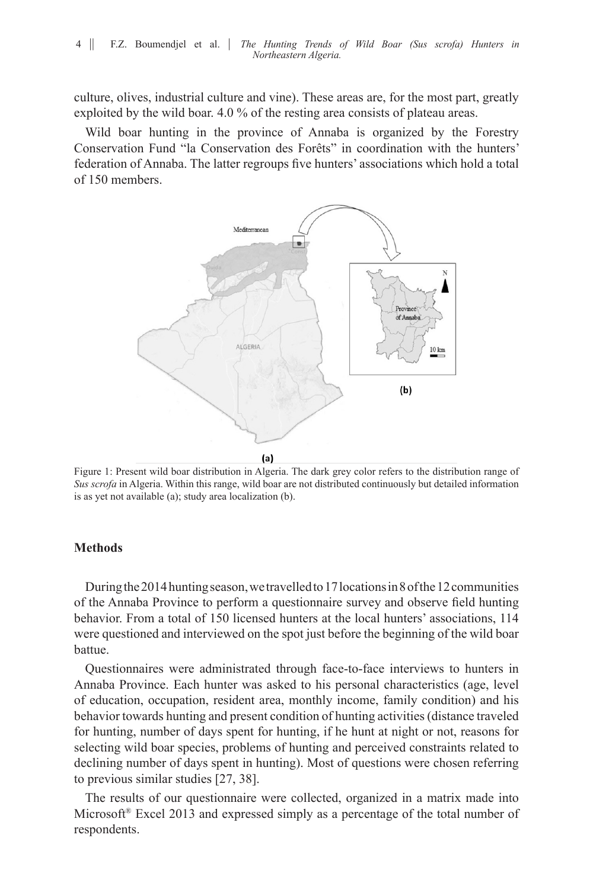culture, olives, industrial culture and vine). These areas are, for the most part, greatly exploited by the wild boar. 4.0 % of the resting area consists of plateau areas.

Wild boar hunting in the province of Annaba is organized by the Forestry Conservation Fund "la Conservation des Forêts" in coordination with the hunters' federation of Annaba. The latter regroups five hunters' associations which hold a total of 150 members.



Figure 1: Present wild boar distribution in Algeria. The dark grey color refers to the distribution range of *Sus scrofa* in Algeria. Within this range, wild boar are not distributed continuously but detailed information is as yet not available (a); study area localization (b).

# **Methods**

During the 2014 hunting season, we travelled to 17 locations in 8 of the 12 communities of the Annaba Province to perform a questionnaire survey and observe field hunting behavior. From a total of 150 licensed hunters at the local hunters' associations, 114 were questioned and interviewed on the spot just before the beginning of the wild boar battue.

Questionnaires were administrated through face-to-face interviews to hunters in Annaba Province. Each hunter was asked to his personal characteristics (age, level of education, occupation, resident area, monthly income, family condition) and his behavior towards hunting and present condition of hunting activities (distance traveled for hunting, number of days spent for hunting, if he hunt at night or not, reasons for selecting wild boar species, problems of hunting and perceived constraints related to declining number of days spent in hunting). Most of questions were chosen referring to previous similar studies [27, 38].

The results of our questionnaire were collected, organized in a matrix made into Microsoft® Excel 2013 and expressed simply as a percentage of the total number of respondents.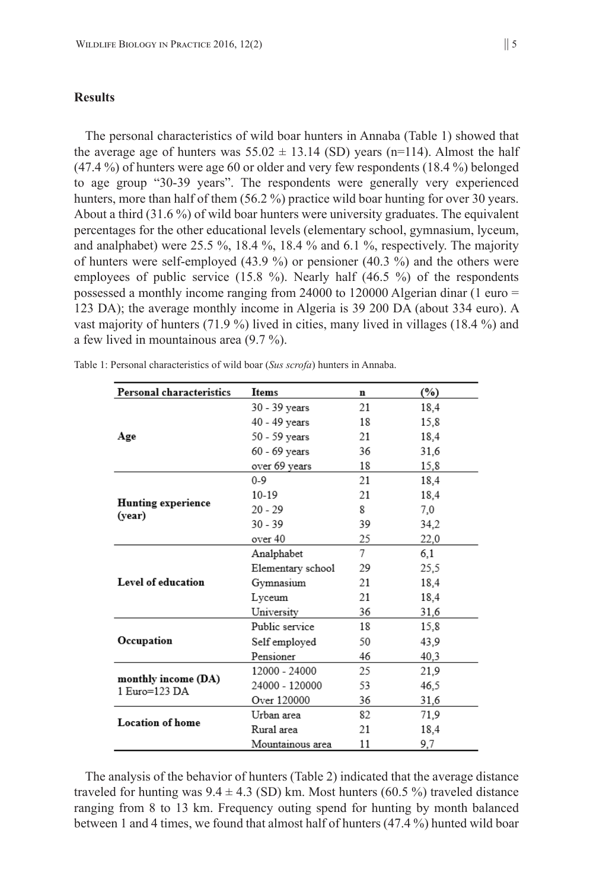#### **Results**

The personal characteristics of wild boar hunters in Annaba (Table 1) showed that the average age of hunters was  $55.02 \pm 13.14$  (SD) years (n=114). Almost the half (47.4 %) of hunters were age 60 or older and very few respondents (18.4 %) belonged to age group "30-39 years". The respondents were generally very experienced hunters, more than half of them (56.2 %) practice wild boar hunting for over 30 years. About a third (31.6 %) of wild boar hunters were university graduates. The equivalent percentages for the other educational levels (elementary school, gymnasium, lyceum, and analphabet) were 25.5 %, 18.4 %, 18.4 % and 6.1 %, respectively. The majority of hunters were self-employed (43.9 %) or pensioner (40.3 %) and the others were employees of public service (15.8 %). Nearly half (46.5 %) of the respondents possessed a monthly income ranging from 24000 to 120000 Algerian dinar (1 euro  $=$ 123 DA); the average monthly income in Algeria is 39 200 DA (about 334 euro). A vast majority of hunters (71.9 %) lived in cities, many lived in villages (18.4 %) and a few lived in mountainous area (9.7 %).

| <b>Personal characteristics</b>      | Items             | n  | $(\%)$ |
|--------------------------------------|-------------------|----|--------|
|                                      | 30 - 39 years     | 21 | 18,4   |
|                                      | 40 - 49 years     | 18 | 15.8   |
| Age                                  | 50 - 59 years     | 21 | 18,4   |
|                                      | 60 - 69 vears     | 36 | 31,6   |
|                                      | over 69 years     | 18 | 15,8   |
|                                      | $0 - 9$           | 21 | 18.4   |
|                                      | $10-19$           | 21 | 18.4   |
| <b>Hunting experience</b><br>(year)  | $20 - 29$         | 8  | 7,0    |
|                                      | $30 - 39$         | 39 | 34,2   |
|                                      | over 40           | 25 | 22,0   |
|                                      | Analphabet        | 7  | 6.1    |
|                                      | Elementary school | 29 | 25,5   |
| Level of education                   | Gymnasium         | 21 | 18.4   |
|                                      | Lvceum            | 21 | 18,4   |
|                                      | University        | 36 | 31,6   |
|                                      | Public service    | 18 | 15,8   |
| Occupation                           | Self employed     | 50 | 43.9   |
|                                      | Pensioner         | 46 | 40,3   |
|                                      | 12000 - 24000     | 25 | 21.9   |
| monthly income (DA)<br>1 Euro=123 DA | 24000 - 120000    | 53 | 46,5   |
|                                      | Over 120000       | 36 | 31,6   |
| <b>Location of home</b>              | Urban area        | 82 | 71.9   |
|                                      | Rural area        | 21 | 18.4   |
|                                      | Mountainous area  | 11 | 9,7    |

Table 1: Personal characteristics of wild boar (*Sus scrofa*) hunters in Annaba.

The analysis of the behavior of hunters (Table 2) indicated that the average distance traveled for hunting was  $9.4 \pm 4.3$  (SD) km. Most hunters (60.5 %) traveled distance ranging from 8 to 13 km. Frequency outing spend for hunting by month balanced between 1 and 4 times, we found that almost half of hunters (47.4 %) hunted wild boar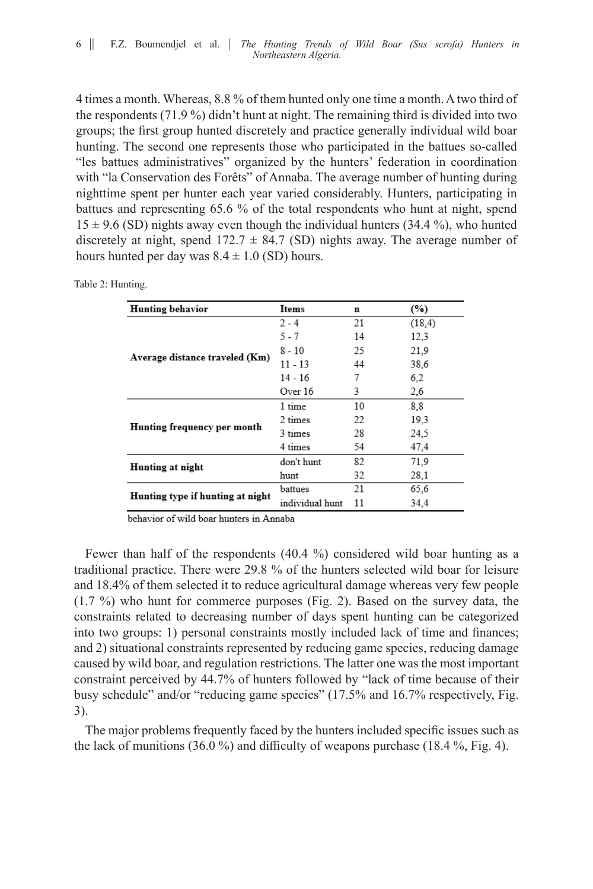4 times a month. Whereas, 8.8 % of them hunted only one time a month. A two third of the respondents (71.9 %) didn't hunt at night. The remaining third is divided into two groups; the first group hunted discretely and practice generally individual wild boar hunting. The second one represents those who participated in the battues so-called "les battues administratives" organized by the hunters' federation in coordination with "la Conservation des Forêts" of Annaba. The average number of hunting during nighttime spent per hunter each year varied considerably. Hunters, participating in battues and representing 65.6 % of the total respondents who hunt at night, spend  $15 \pm 9.6$  (SD) nights away even though the individual hunters (34.4 %), who hunted discretely at night, spend  $172.7 \pm 84.7$  (SD) nights away. The average number of hours hunted per day was  $8.4 \pm 1.0$  (SD) hours.

| <b>Hunting behavior</b>          | Items           | n  | (%)     |
|----------------------------------|-----------------|----|---------|
|                                  | $2 - 4$         | 21 | (18, 4) |
|                                  | $5 - 7$         | 14 | 12,3    |
|                                  | 8 - 10          | 25 | 21,9    |
| Average distance traveled (Km)   | $11 - 13$       | 44 | 38.6    |
|                                  | $14 - 16$       | 7  | 6.2     |
|                                  | Over 16         | 3  | 2,6     |
|                                  | 1 time          | 10 | 8.8     |
|                                  | 2 times         | 22 | 19.3    |
| Hunting frequency per month      | 3 times         | 28 | 24,5    |
|                                  | 4 times         | 54 | 47.4    |
| Hunting at night                 | don't hunt      | 82 | 71.9    |
|                                  | hunt            | 32 | 28.1    |
|                                  | battues         | 21 | 65.6    |
| Hunting type if hunting at night | individual hunt | 11 | 34.4    |
|                                  |                 |    |         |

Table 2: Hunting.

behavior of wild boar hunters in Annaba

Fewer than half of the respondents (40.4 %) considered wild boar hunting as a traditional practice. There were 29.8 % of the hunters selected wild boar for leisure and 18.4% of them selected it to reduce agricultural damage whereas very few people (1.7 %) who hunt for commerce purposes (Fig. 2). Based on the survey data, the constraints related to decreasing number of days spent hunting can be categorized into two groups: 1) personal constraints mostly included lack of time and finances; and 2) situational constraints represented by reducing game species, reducing damage caused by wild boar, and regulation restrictions. The latter one was the most important constraint perceived by 44.7% of hunters followed by "lack of time because of their busy schedule" and/or "reducing game species" (17.5% and 16.7% respectively, Fig. 3).

The major problems frequently faced by the hunters included specific issues such as the lack of munitions (36.0 %) and difficulty of weapons purchase (18.4 %, Fig. 4).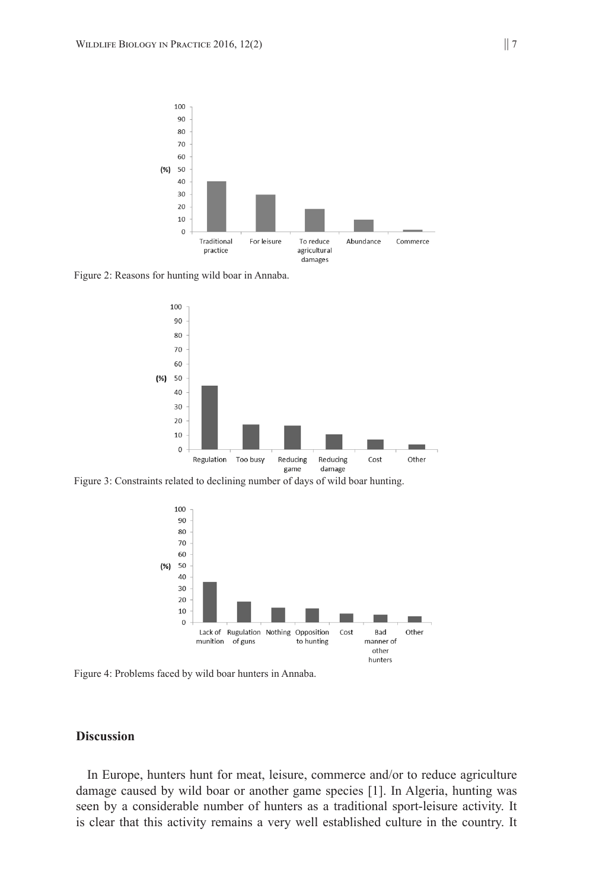

Figure 2: Reasons for hunting wild boar in Annaba.



Figure 3: Constraints related to declining number of days of wild boar hunting.



Figure 4: Problems faced by wild boar hunters in Annaba.

#### **Discussion**

In Europe, hunters hunt for meat, leisure, commerce and/or to reduce agriculture damage caused by wild boar or another game species [1]. In Algeria, hunting was seen by a considerable number of hunters as a traditional sport-leisure activity. It is clear that this activity remains a very well established culture in the country. It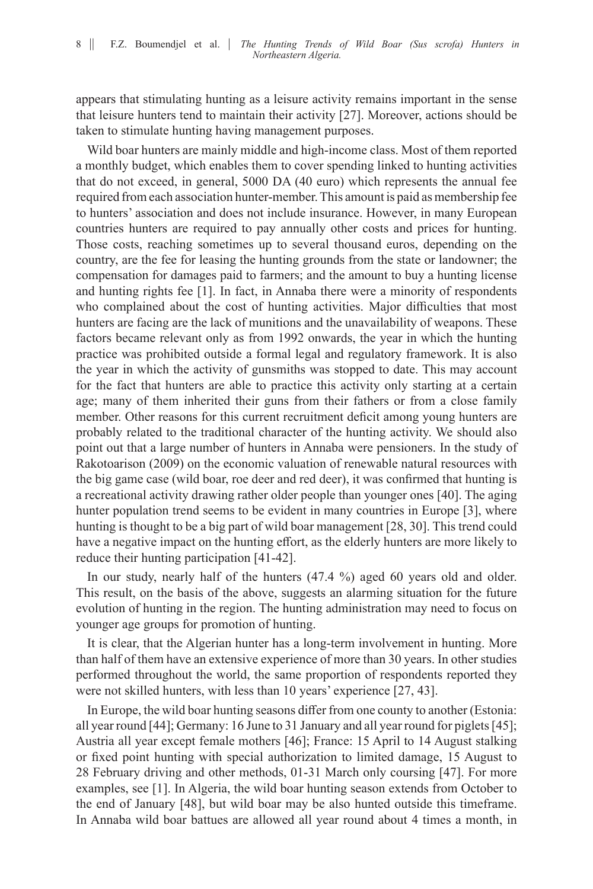appears that stimulating hunting as a leisure activity remains important in the sense that leisure hunters tend to maintain their activity [27]. Moreover, actions should be taken to stimulate hunting having management purposes.

Wild boar hunters are mainly middle and high-income class. Most of them reported a monthly budget, which enables them to cover spending linked to hunting activities that do not exceed, in general, 5000 DA (40 euro) which represents the annual fee required from each association hunter-member. This amount is paid as membership fee to hunters' association and does not include insurance. However, in many European countries hunters are required to pay annually other costs and prices for hunting. Those costs, reaching sometimes up to several thousand euros, depending on the country, are the fee for leasing the hunting grounds from the state or landowner; the compensation for damages paid to farmers; and the amount to buy a hunting license and hunting rights fee [1]. In fact, in Annaba there were a minority of respondents who complained about the cost of hunting activities. Major difficulties that most hunters are facing are the lack of munitions and the unavailability of weapons. These factors became relevant only as from 1992 onwards, the year in which the hunting practice was prohibited outside a formal legal and regulatory framework. It is also the year in which the activity of gunsmiths was stopped to date. This may account for the fact that hunters are able to practice this activity only starting at a certain age; many of them inherited their guns from their fathers or from a close family member. Other reasons for this current recruitment deficit among young hunters are probably related to the traditional character of the hunting activity. We should also point out that a large number of hunters in Annaba were pensioners. In the study of Rakotoarison (2009) on the economic valuation of renewable natural resources with the big game case (wild boar, roe deer and red deer), it was confirmed that hunting is a recreational activity drawing rather older people than younger ones [40]. The aging hunter population trend seems to be evident in many countries in Europe [3], where hunting is thought to be a big part of wild boar management [28, 30]. This trend could have a negative impact on the hunting effort, as the elderly hunters are more likely to reduce their hunting participation [41-42].

In our study, nearly half of the hunters (47.4 %) aged 60 years old and older. This result, on the basis of the above, suggests an alarming situation for the future evolution of hunting in the region. The hunting administration may need to focus on younger age groups for promotion of hunting.

It is clear, that the Algerian hunter has a long-term involvement in hunting. More than half of them have an extensive experience of more than 30 years. In other studies performed throughout the world, the same proportion of respondents reported they were not skilled hunters, with less than 10 years' experience [27, 43].

In Europe, the wild boar hunting seasons differ from one county to another (Estonia: all year round [44]; Germany: 16 June to 31 January and all year round for piglets [45]; Austria all year except female mothers [46]; France: 15 April to 14 August stalking or fixed point hunting with special authorization to limited damage, 15 August to 28 February driving and other methods, 01-31 March only coursing [47]. For more examples, see [1]. In Algeria, the wild boar hunting season extends from October to the end of January [48], but wild boar may be also hunted outside this timeframe. In Annaba wild boar battues are allowed all year round about 4 times a month, in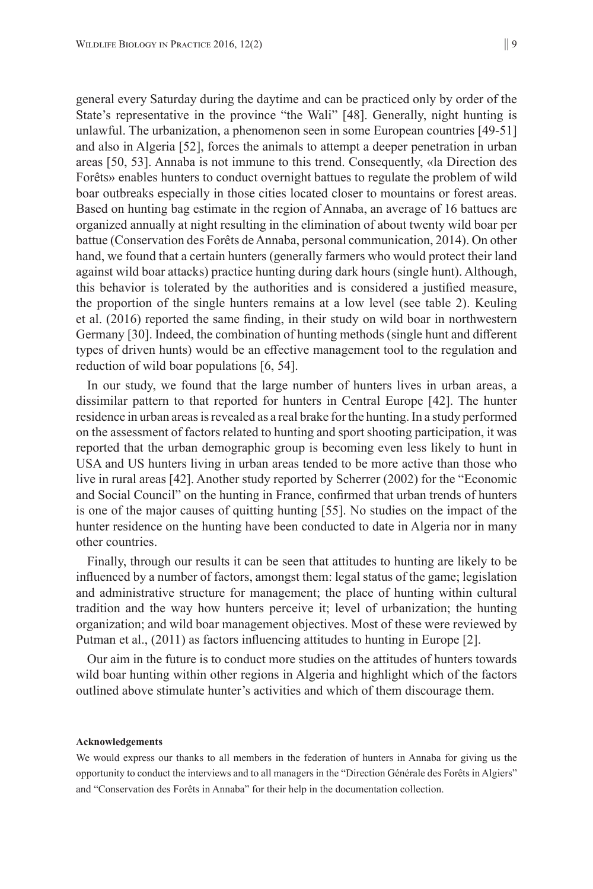general every Saturday during the daytime and can be practiced only by order of the State's representative in the province "the Wali" [48]. Generally, night hunting is unlawful. The urbanization, a phenomenon seen in some European countries [49-51] and also in Algeria [52], forces the animals to attempt a deeper penetration in urban areas [50, 53]. Annaba is not immune to this trend. Consequently, «la Direction des Forêts» enables hunters to conduct overnight battues to regulate the problem of wild boar outbreaks especially in those cities located closer to mountains or forest areas. Based on hunting bag estimate in the region of Annaba, an average of 16 battues are organized annually at night resulting in the elimination of about twenty wild boar per battue (Conservation des Forêts de Annaba, personal communication, 2014). On other hand, we found that a certain hunters (generally farmers who would protect their land against wild boar attacks) practice hunting during dark hours (single hunt). Although, this behavior is tolerated by the authorities and is considered a justified measure, the proportion of the single hunters remains at a low level (see table 2). Keuling et al. (2016) reported the same finding, in their study on wild boar in northwestern Germany [30]. Indeed, the combination of hunting methods (single hunt and different types of driven hunts) would be an effective management tool to the regulation and reduction of wild boar populations [6, 54].

In our study, we found that the large number of hunters lives in urban areas, a dissimilar pattern to that reported for hunters in Central Europe [42]. The hunter residence in urban areas is revealed as a real brake for the hunting. In a study performed on the assessment of factors related to hunting and sport shooting participation, it was reported that the urban demographic group is becoming even less likely to hunt in USA and US hunters living in urban areas tended to be more active than those who live in rural areas [42]. Another study reported by Scherrer (2002) for the "Economic and Social Council" on the hunting in France, confirmed that urban trends of hunters is one of the major causes of quitting hunting [55]. No studies on the impact of the hunter residence on the hunting have been conducted to date in Algeria nor in many other countries.

Finally, through our results it can be seen that attitudes to hunting are likely to be influenced by a number of factors, amongst them: legal status of the game; legislation and administrative structure for management; the place of hunting within cultural tradition and the way how hunters perceive it; level of urbanization; the hunting organization; and wild boar management objectives. Most of these were reviewed by Putman et al., (2011) as factors influencing attitudes to hunting in Europe [2].

Our aim in the future is to conduct more studies on the attitudes of hunters towards wild boar hunting within other regions in Algeria and highlight which of the factors outlined above stimulate hunter's activities and which of them discourage them.

#### **Acknowledgements**

We would express our thanks to all members in the federation of hunters in Annaba for giving us the opportunity to conduct the interviews and to all managers in the "Direction Générale des Forêts in Algiers" and "Conservation des Forêts in Annaba" for their help in the documentation collection.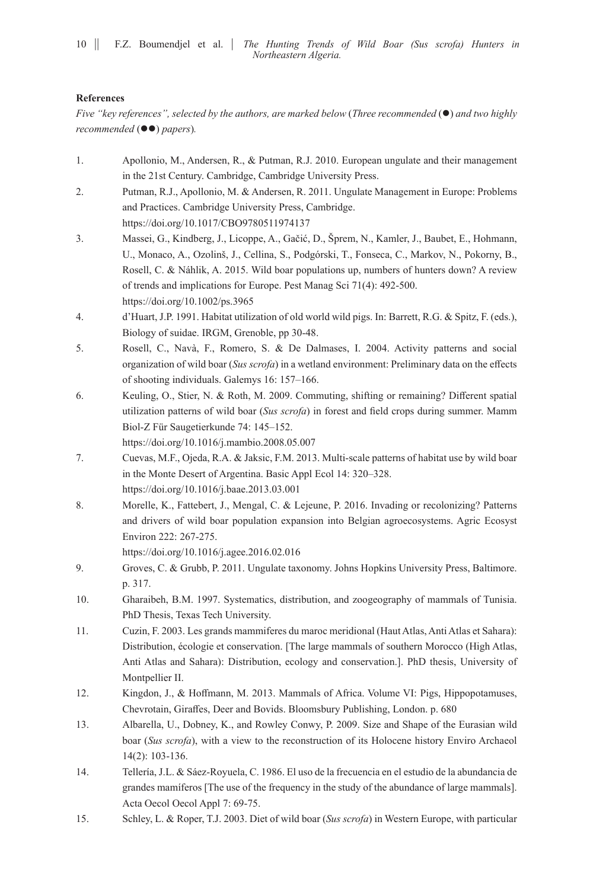### **References**

*Five "key references", selected by the authors, are marked below (Three recommended* ( $\bullet$ ) and two highly *recommended* ( $\bullet\bullet$ ) *papers*).

- 1. Apollonio, M., Andersen, R., & Putman, R.J. 2010. European ungulate and their management in the 21st Century. Cambridge, Cambridge University Press.
- 2. Putman, R.J., Apollonio, M. & Andersen, R. 2011. Ungulate Management in Europe: Problems and Practices. Cambridge University Press, Cambridge. https://doi.org/10.1017/CBO9780511974137
- 3. Massei, G., Kindberg, J., Licoppe, A., Gačić, D., Šprem, N., Kamler, J., Baubet, E., Hohmann, U., Monaco, A., Ozolinš, J., Cellina, S., Podgórski, T., Fonseca, C., Markov, N., Pokorny, B., Rosell, C. & Náhlik, A. 2015. Wild boar populations up, numbers of hunters down? A review of trends and implications for Europe. Pest Manag Sci 71(4): 492-500. https://doi.org/10.1002/ps.3965
- 4. d'Huart, J.P. 1991. Habitat utilization of old world wild pigs. In: Barrett, R.G. & Spitz, F. (eds.), Biology of suidae. IRGM, Grenoble, pp 30-48.
- 5. Rosell, C., Navà, F., Romero, S. & De Dalmases, I. 2004. Activity patterns and social organization of wild boar (*Sus scrofa*) in a wetland environment: Preliminary data on the effects of shooting individuals. Galemys 16: 157–166.
- 6. Keuling, O., Stier, N. & Roth, M. 2009. Commuting, shifting or remaining? Different spatial utilization patterns of wild boar (*Sus scrofa*) in forest and field crops during summer. Mamm Biol-Z Für Saugetierkunde 74: 145–152.

https://doi.org/10.1016/j.mambio.2008.05.007

- 7. Cuevas, M.F., Ojeda, R.A. & Jaksic, F.M. 2013. Multi-scale patterns of habitat use by wild boar in the Monte Desert of Argentina. Basic Appl Ecol 14: 320–328. https://doi.org/10.1016/j.baae.2013.03.001
- 8. Morelle, K., Fattebert, J., Mengal, C. & Lejeune, P. 2016. Invading or recolonizing? Patterns and drivers of wild boar population expansion into Belgian agroecosystems. Agric Ecosyst Environ 222: 267-275.

https://doi.org/10.1016/j.agee.2016.02.016

- 9. Groves, C. & Grubb, P. 2011. Ungulate taxonomy. Johns Hopkins University Press, Baltimore. p. 317.
- 10. Gharaibeh, B.M. 1997. Systematics, distribution, and zoogeography of mammals of Tunisia. PhD Thesis, Texas Tech University.
- 11. Cuzin, F. 2003. Les grands mammiferes du maroc meridional (Haut Atlas, Anti Atlas et Sahara): Distribution, écologie et conservation. [The large mammals of southern Morocco (High Atlas, Anti Atlas and Sahara): Distribution, ecology and conservation.]. PhD thesis, University of Montpellier II.
- 12. Kingdon, J., & Hoffmann, M. 2013. Mammals of Africa. Volume VI: Pigs, Hippopotamuses, Chevrotain, Giraffes, Deer and Bovids. Bloomsbury Publishing, London. p. 680
- 13. Albarella, U., Dobney, K., and Rowley Conwy, P. 2009. Size and Shape of the Eurasian wild boar (*Sus scrofa*), with a view to the reconstruction of its Holocene history Enviro Archaeol 14(2): 103-136.
- 14. Tellería, J.L. & Sáez-Royuela, C. 1986. El uso de la frecuencia en el estudio de la abundancia de grandes mamíferos [The use of the frequency in the study of the abundance of large mammals]. Acta Oecol Oecol Appl 7: 69-75.
- 15. Schley, L. & Roper, T.J. 2003. Diet of wild boar (*Sus scrofa*) in Western Europe, with particular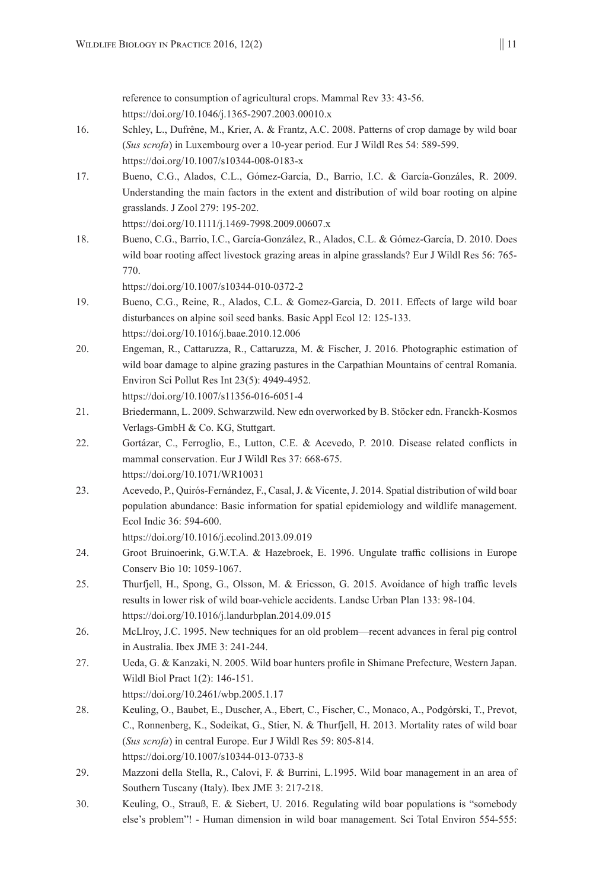reference to consumption of agricultural crops. Mammal Rev 33: 43-56. https://doi.org/10.1046/j.1365-2907.2003.00010.x

- 16. Schley, L., Dufrêne, M., Krier, A. & Frantz, A.C. 2008. Patterns of crop damage by wild boar (*Sus scrofa*) in Luxembourg over a 10-year period. Eur J Wildl Res 54: 589-599. https://doi.org/10.1007/s10344-008-0183-x
- 17. Bueno, C.G., Alados, C.L., Gómez-García, D., Barrio, I.C. & García-Gonzáles, R. 2009. Understanding the main factors in the extent and distribution of wild boar rooting on alpine grasslands. J Zool 279: 195-202.

```
https://doi.org/10.1111/j.1469-7998.2009.00607.x
```
18. Bueno, C.G., Barrio, I.C., García-González, R., Alados, C.L. & Gómez-García, D. 2010. Does wild boar rooting affect livestock grazing areas in alpine grasslands? Eur J Wildl Res 56: 765- 770.

```
https://doi.org/10.1007/s10344-010-0372-2
```
- 19. Bueno, C.G., Reine, R., Alados, C.L. & Gomez-Garcia, D. 2011. Effects of large wild boar disturbances on alpine soil seed banks. Basic Appl Ecol 12: 125-133. https://doi.org/10.1016/j.baae.2010.12.006
- 20. Engeman, R., Cattaruzza, R., Cattaruzza, M. & Fischer, J. 2016. Photographic estimation of wild boar damage to alpine grazing pastures in the Carpathian Mountains of central Romania. Environ Sci Pollut Res Int 23(5): 4949-4952. https://doi.org/10.1007/s11356-016-6051-4
- 21. Briedermann, L. 2009. Schwarzwild. New edn overworked by B. Stöcker edn. Franckh-Kosmos Verlags-GmbH & Co. KG, Stuttgart.
- 22. Gortázar, C., Ferroglio, E., Lutton, C.E. & Acevedo, P. 2010. Disease related conflicts in mammal conservation. Eur J Wildl Res 37: 668-675. https://doi.org/10.1071/WR10031
- 23. Acevedo, P., Quirós-Fernández, F., Casal, J. & Vicente, J. 2014. Spatial distribution of wild boar population abundance: Basic information for spatial epidemiology and wildlife management. Ecol Indic 36: 594-600.

https://doi.org/10.1016/j.ecolind.2013.09.019

- 24. Groot Bruinoerink, G.W.T.A. & Hazebroek, E. 1996. Ungulate traffic collisions in Europe Conserv Bio 10: 1059-1067.
- 25. Thurfjell, H., Spong, G., Olsson, M. & Ericsson, G. 2015. Avoidance of high traffic levels results in lower risk of wild boar-vehicle accidents. Landsc Urban Plan 133: 98-104. https://doi.org/10.1016/j.landurbplan.2014.09.015
- 26. McLlroy, J.C. 1995. New techniques for an old problem—recent advances in feral pig control in Australia. Ibex JME 3: 241-244.
- 27. Ueda, G. & Kanzaki, N. 2005. Wild boar hunters profile in Shimane Prefecture, Western Japan. Wildl Biol Pract 1(2): 146-151.

https://doi.org/10.2461/wbp.2005.1.17

- 28. Keuling, O., Baubet, E., Duscher, A., Ebert, C., Fischer, C., Monaco, A., Podgórski, T., Prevot, C., Ronnenberg, K., Sodeikat, G., Stier, N. & Thurfjell, H. 2013. Mortality rates of wild boar (*Sus scrofa*) in central Europe. Eur J Wildl Res 59: 805-814. https://doi.org/10.1007/s10344-013-0733-8
- 29. Mazzoni della Stella, R., Calovi, F. & Burrini, L.1995. Wild boar management in an area of Southern Tuscany (Italy). Ibex JME 3: 217-218.
- 30. Keuling, O., Strauß, E. & Siebert, U. 2016. Regulating wild boar populations is "somebody else's problem"! - Human dimension in wild boar management. Sci Total Environ 554-555: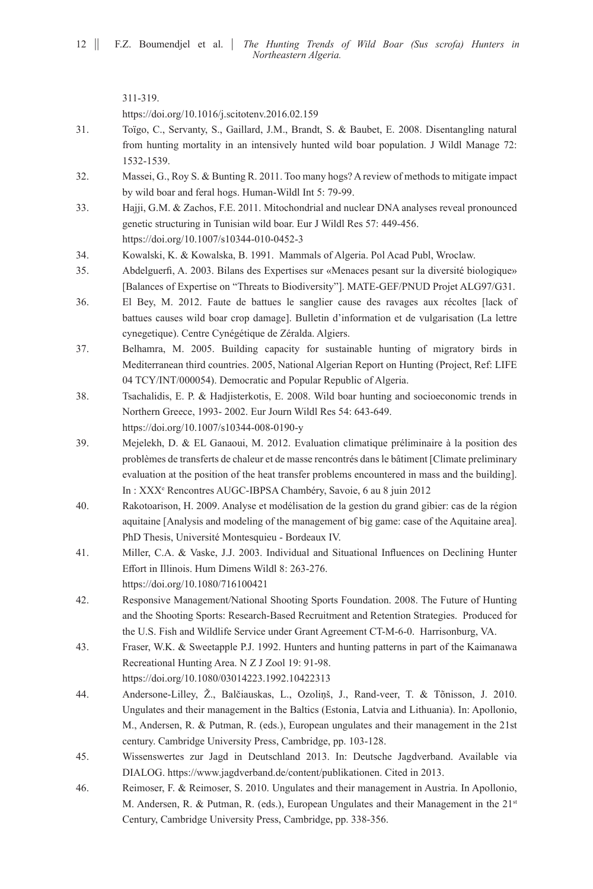311-319. https://doi.org/10.1016/j.scitotenv.2016.02.159

- 31. Toïgo, C., Servanty, S., Gaillard, J.M., Brandt, S. & Baubet, E. 2008. Disentangling natural from hunting mortality in an intensively hunted wild boar population. J Wildl Manage 72: 1532-1539.
- 32. Massei, G., Roy S. & Bunting R. 2011. Too many hogs? A review of methods to mitigate impact by wild boar and feral hogs. Human-Wildl Int 5: 79-99.
- 33. Hajji, G.M. & Zachos, F.E. 2011. Mitochondrial and nuclear DNA analyses reveal pronounced genetic structuring in Tunisian wild boar. Eur J Wildl Res 57: 449-456. https://doi.org/10.1007/s10344-010-0452-3
- 34. Kowalski, K. & Kowalska, B. 1991. Mammals of Algeria. Pol Acad Publ, Wroclaw.
- 35. Abdelguerfi, A. 2003. Bilans des Expertises sur «Menaces pesant sur la diversité biologique» [Balances of Expertise on "Threats to Biodiversity"]. MATE-GEF/PNUD Projet ALG97/G31.
- 36. El Bey, M. 2012. Faute de battues le sanglier cause des ravages aux récoltes [lack of battues causes wild boar crop damage]. Bulletin d'information et de vulgarisation (La lettre cynegetique). Centre Cynégétique de Zéralda. Algiers.
- 37. Belhamra, M. 2005. Building capacity for sustainable hunting of migratory birds in Mediterranean third countries. 2005, National Algerian Report on Hunting (Project, Ref: LIFE 04 TCY/INT/000054). Democratic and Popular Republic of Algeria.
- 38. Tsachalidis, E. P. & Hadjisterkotis, E. 2008. Wild boar hunting and socioeconomic trends in Northern Greece, 1993- 2002. Eur Journ Wildl Res 54: 643-649. https://doi.org/10.1007/s10344-008-0190-y
- 39. Mejelekh, D. & EL Ganaoui, M. 2012. Evaluation climatique préliminaire à la position des problèmes de transferts de chaleur et de masse rencontrés dans le bâtiment [Climate preliminary evaluation at the position of the heat transfer problems encountered in mass and the building]. In : XXXe Rencontres AUGC-IBPSA Chambéry, Savoie, 6 au 8 juin 2012
- 40. Rakotoarison, H. 2009. Analyse et modélisation de la gestion du grand gibier: cas de la région aquitaine [Analysis and modeling of the management of big game: case of the Aquitaine area]. PhD Thesis, Université Montesquieu - Bordeaux IV.
- 41. Miller, C.A. & Vaske, J.J. 2003. Individual and Situational Influences on Declining Hunter Effort in Illinois. Hum Dimens Wildl 8: 263-276. https://doi.org/10.1080/716100421
- 42. Responsive Management/National Shooting Sports Foundation. 2008. The Future of Hunting and the Shooting Sports: Research-Based Recruitment and Retention Strategies. Produced for the U.S. Fish and Wildlife Service under Grant Agreement CT-M-6-0. Harrisonburg, VA.
- 43. Fraser, W.K. & Sweetapple P.J. 1992. Hunters and hunting patterns in part of the Kaimanawa Recreational Hunting Area. N Z J Zool 19: 91-98.

https://doi.org/10.1080/03014223.1992.10422313

- 44. Andersone-Lilley, Ž., Balčiauskas, L., Ozoliņš, J., Rand-veer, T. & Tõnisson, J. 2010. Ungulates and their management in the Baltics (Estonia, Latvia and Lithuania). In: Apollonio, M., Andersen, R. & Putman, R. (eds.), European ungulates and their management in the 21st century. Cambridge University Press, Cambridge, pp. 103-128.
- 45. Wissenswertes zur Jagd in Deutschland 2013. In: Deutsche Jagdverband. Available via DIALOG. https://www.jagdverband.de/content/publikationen. Cited in 2013.
- 46. Reimoser, F. & Reimoser, S. 2010. Ungulates and their management in Austria. In Apollonio, M. Andersen, R. & Putman, R. (eds.), European Ungulates and their Management in the 21<sup>st</sup> Century, Cambridge University Press, Cambridge, pp. 338-356.